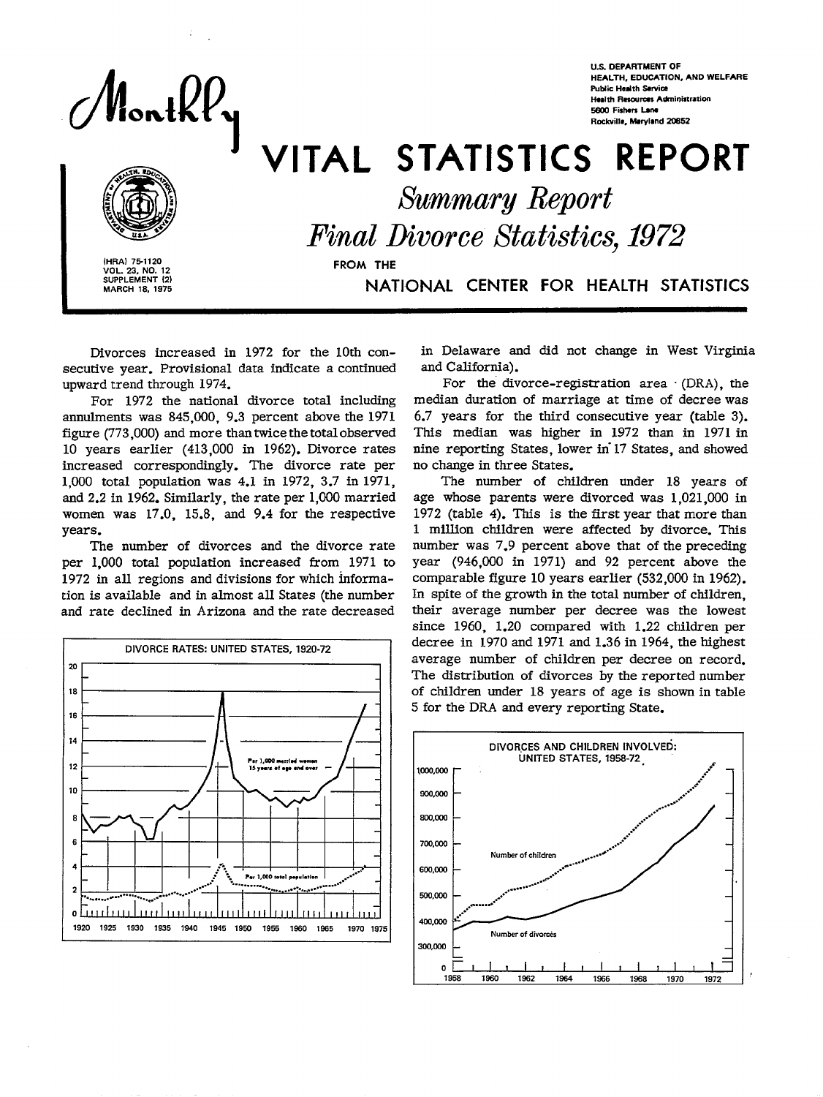ontKl

US. DEPARTMENT OF HEALTH, EDUCATION, AND WELFARE **Public Health Service Health Resources Administration** E600 Fishers Lane Rockville, Maryland 20852

# VITAL STATISTICS REPORT



**IHRAI 75-1120**<br> **VOL. 23, NO. 12**<br> **SUPPLEMENT (2)**<br>
MARCH 18, 1975

*Summary Report*<br>*Final Divorce Statistics Final Divorce MMstics, 1972* 

SUPPLEMENT (2) NATIONAL CENTER FOR HEALTH STATISTICS

Divorces increased in 1972 for the 10th consecutive year. Provisional data indicate a continued upward trend through 1974.

For 1972 the national divorce total including annulments was 845,000, 9.3 percent above the 1971 figure (773,000) and more than twice the total observed 10 years earlier (413,000 in 1962). Divorce rates increased correspondingly. The divorce rate per 1,000 total population was 4.1 in 1972, 3.7 in 1971, and 2.2 in 1962. Similarly, the rate per 1,000 married women was 17.0, 15.8, and 9.4 for the respective years.

The number of divorces and the divorce rate per 1,000 total population increased from 1971 to 1972 in all regions and divisions for which information is available and in almost all States (the number and rate declined in Arizona and the rate decreased



in Delaware and did not change in West Virginia and California).

For the divorce-registration area (DRA), the median duration of marriage at time of decree was 6.7 years for the third consecutive year (table 3). This median was higher in 1972 than in 1971 in nine reporting States, lower in 17 States, and showed no change in three States.

The number of children under 18 years of age whose parents were divorced was 1,021,000 in 1972 (table 4). This is the first year that more than 1 million children were affected by divorce. This number was 7.9 percent above that of the preceding year (946,000 in 1971) and 92 percent above the comparable figure 10 years earlier (532,000 in 1962). In spite of the growth in the total number of children, their average number per decree was the lowest since 1960, 1.20 compared with 1.22 children per decree in 1970 and 1971 and 1.36 in 1964, the highest average number of children per decree on record. The distribution of divorces by the reported number of children under 18 years of age is shown in table 5 for the DRA and every reporting State.

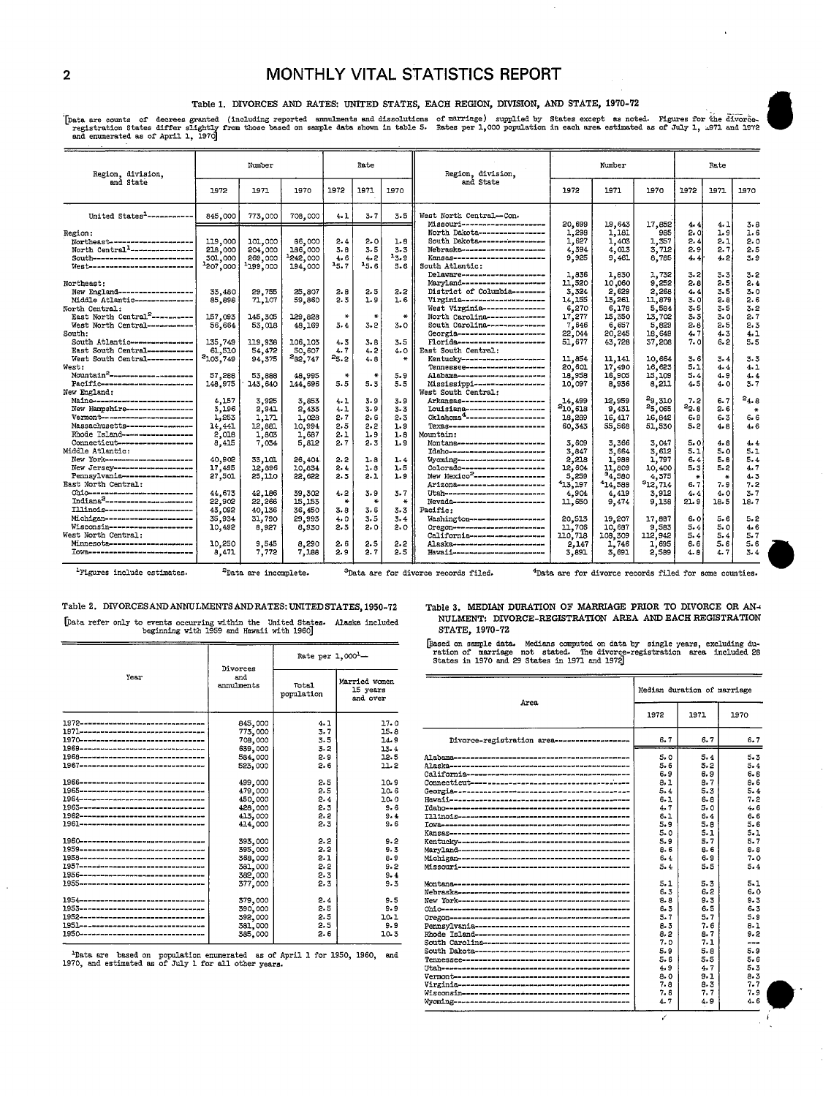# 2 MONTHLY VITAL STATISTICS REPORT

### Table 1. DIVORCES AND RATES: UNITED STATES, EACH REGION, DIVISION, AND STATE, 1970-72

Data are counts of decrees granted (including reported ammulments and dissolutions of marriage) supplied by States except as noted. Figures for the divorce-<br>registration States differ slightly from those based on sample da

| Region, division.                                                                                                                                                         | Number                                    |                                           | Rate                                       |                           |                               | Region, division,             | Number                                                                                                                                                                                                                  |                                                     |                                                     |                                                  | Rate                                    |                                        |                                        |
|---------------------------------------------------------------------------------------------------------------------------------------------------------------------------|-------------------------------------------|-------------------------------------------|--------------------------------------------|---------------------------|-------------------------------|-------------------------------|-------------------------------------------------------------------------------------------------------------------------------------------------------------------------------------------------------------------------|-----------------------------------------------------|-----------------------------------------------------|--------------------------------------------------|-----------------------------------------|----------------------------------------|----------------------------------------|
| and State                                                                                                                                                                 | 1972                                      | 1971                                      | 1970                                       | 1972                      | 1971                          | 1970                          | and State                                                                                                                                                                                                               | 1972                                                | 1971                                                | 1970                                             | 1972                                    | 1971                                   | 1970                                   |
| United States <sup>1</sup> ------------                                                                                                                                   | 845,000                                   | 773,000                                   | 708,000                                    | 4.1                       | 3.7                           | 3.5                           | West North Central-Con.<br>Missouri---------------------                                                                                                                                                                | 20,699                                              | 19,643                                              | 17,852                                           | 4.4                                     | 4.1                                    | 3.8                                    |
| Region:<br>Northeast--------------------<br>North Central <sup>1</sup> ----------------<br>South-------------------------<br>West--------------------------<br>Northeast: | 119,000<br>218,000<br>301,000<br>2207,000 | 101,000<br>204,000<br>269,000<br>1199,000 | 86,000<br>186,000<br>$-242,000$<br>194,000 | 2.4<br>3.8<br>4.6<br>15.7 | 2.0<br>3.5<br>$4 - 2$<br>15.6 | 1.8<br>$3 - 3$<br>13.9<br>5.6 | North Dakota-----------------<br>South Dakota----------------<br>Nebraska----------------------<br>Kansas------------------------<br>South Atlantic:<br>Delaware----------------------<br>Maryland--------------------- | 1,298<br>1,627<br>4,394<br>9,925<br>1,836<br>11,520 | 1,181<br>1,403<br>4.013<br>9.461<br>1,830<br>10,060 | 985<br>1,357<br>3,712<br>8,785<br>1,732<br>9,252 | 2. O<br>2.4<br>2.9<br>4.4<br>3.2<br>2.8 | 1.9<br>2.1<br>2.7<br>4.2<br>3.3<br>2.5 | 1.6<br>2.0<br>2.5<br>3.9<br>3.2<br>2.4 |
| New England-------------------<br>Middle Atlantic---------------<br>North Central:                                                                                        | 33,480<br>85,898                          | 29,755<br>71,107                          | 25,807<br>59,860                           | 2.0<br>2.3                | 2.5<br>1.9                    | 2.2<br>1.6                    | District of Columbia --------<br>Virginia----------------------<br>West Virginia---------------                                                                                                                         | 3.324<br>14,155<br>6,270                            | 2,629<br>13.261<br>6,178                            | 2,268<br>11.879<br>5.584                         | 4.4<br>3.0<br>3.5                       | 3.5<br>2.8<br>3.5                      | 3.0<br>2.6<br>3.2                      |
| East North Central <sup>2</sup> -----------<br>West North Central -----------<br>South:<br>South Atlantic----------------                                                 | 157,093<br>56,664<br>135,749              | 145,305<br>53,018<br>119,938              | 129,828<br>48,169<br>106,103               | ∗<br>3.4<br>4.3           | 3.2<br>$3 - 8$                | $\star$<br>3.0<br>3.5         | North Carolina--------------<br>South Carolina -------------<br>Georgia----------------------<br>Florida----------------------                                                                                          | 17,277<br>7.646<br>22,044<br>51,677                 | 15,350<br>6,657<br>20,245<br>43,728                 | 13,702<br>5.829<br>16,649<br>37,208              | 3.3<br>2.8<br>4.7<br>7. O               | 3.0<br>2.5<br>4.3<br>6.2               | 2.7<br>2.3<br>4.1<br>5.5               |
| East South Central -----------<br>West South Central -----------<br>West:<br>Mountain <sup>2</sup> ----------------------                                                 | 61,510<br>2103,749<br>57,288              | 54,472<br>94, 375<br>53.888               | 50,607<br>282,747<br>48,995                | 4.7<br>25.2<br>₩          | 4.2<br>4.8<br>₩               | 4.0<br>₩<br>5.9               | East South Central:<br>Kentucky---------------------<br>Tennessee---------------------<br>Alabama----------------------                                                                                                 | 11.854<br>20,601<br>18,958                          | 11.141<br>17,490<br>16,905                          | 10.664<br>16,623<br>15,109                       | 3.6<br>5.1<br>5.4                       | 3.4<br>4.4<br>4.9                      | 3.3<br>4.1<br>4.4                      |
| Pacific-----------------------<br>New England:<br>Maine-------------------------                                                                                          | 148,975<br>4,157                          | 143,640<br>3.925                          | 144,696<br>3,853                           | 5.5<br>4.1                | 5.3<br>3.9                    | 5.5<br>3.9                    | Mississippi -------------------<br>West South Central:<br>Arkansas---------------------                                                                                                                                 | 10,097<br>14.499                                    | 8,936<br>12,959                                     | 8,211<br>29.310                                  | 4.5<br>7.2                              | 4.0<br>6.7                             | 3.7<br>$^{2}4.8$                       |
| New Hampshire----------------<br>Vermont------------------------<br>Massachusetts ----------------<br>Rhode Island-----------------                                       | 3,196<br>1,253<br>14,441                  | 2,941<br>1,171<br>12,881<br>1,803         | 2,433<br>1.028<br>10,994                   | 4.1<br>2.7<br>2.5<br>2.1  | 3.9<br>2.6<br>2.2<br>1.9      | $3 - 3$<br>2.3<br>1.9<br>1.8  | Louisiana--------------------<br>$Ok1$ ahoma $4$ ---------------------<br>Texas-----------------------<br>Mountain:                                                                                                     | 210,618<br>18,289<br>60.343                         | 9,431<br>16, 417<br>55,568                          | <sup>2</sup> 5,065<br>16,842<br>51.530           | $^{22.8}$<br>6.9<br>5.2                 | 2.6<br>6.3<br>4.8                      | $\ast$<br>6.6<br>4.6                   |
| Connecticut-------------------<br>Middle Atlantic:<br>New York----------------------                                                                                      | 2,018<br>8,415<br>40,902                  | 7.034<br>33.101                           | 1,687<br>5,812<br>26,404                   | 2.7<br>2.2                | 2.3<br>1.8                    | 1.9<br>1.4                    | Montana----------------------<br>Idaho-------------------------<br>Wyoming-----------------------                                                                                                                       | 3.609<br>3.847<br>2,218                             | 3,366<br>3.664<br>1,988                             | 3,047<br>3,612<br>1,797                          | 5.0<br>5.1<br>6.4                       | 4.8<br>5.0<br>5.8                      | 4.4<br>5.1<br>5.4                      |
| New Jersey---------------------<br>Pennsylvania------------------<br>East North Central:                                                                                  | 17,495<br>27,501                          | 12,896<br>25,110                          | 10.834<br>22,622                           | 2.4<br>2.3                | 1.8<br>2.1                    | 1.5<br>1.9                    | Colorado---------------------<br>New Mexico <sup>2</sup> -------------------<br>Arizona----------------------                                                                                                           | 12,604<br>5,259<br>413.197                          | 11,809<br>34,580<br>14,588                          | 10,400<br>4,375<br>312,714                       | 5.3<br>$\star$<br>6.7                   | 5.2<br>÷<br>7.9                        | 4.7<br>4.3<br>7.2                      |
| Ohio--------------------------<br>Indiana <sup>2</sup> ----------------------<br>Tllinois-----------------------<br>Michigan----------------------                        | 44,673<br>22,902<br>43,092<br>35,934      | 42.186<br>22,266<br>40,136<br>31,790      | 39,302<br>15,153<br>36,450<br>29,993       | 4.2<br>3.8<br>4.0         | 3.9<br>$\star$<br>3.6<br>3.5  | 3.7<br>*<br>3.3<br>3.4        | Utah--------------------------<br>Nevada-----------------------<br>Pacific:<br>Washington--------------------                                                                                                           | 4.904<br>11,650<br>20,513                           | 4,419<br>9.474<br>19,207                            | 3,912<br>9,138<br>17,887                         | $4 - 4$<br>21.9<br>6. 0                 | 4.0<br>18.5<br>5.6                     | 3.7<br>18.7<br>5.2                     |
| Wisconsin---------------------<br>West North Central:<br>Minnesota--------------------                                                                                    | 10,492<br>10,250                          | 8.927<br>9,545                            | 8,930<br>8,290                             | 2.3<br>2.6                | 2.0<br>2.5                    | 2.0<br>2.2                    | Огедоп------------------------<br>California-------------------<br>Alaska-------------------------                                                                                                                      | 11,706<br>110,718<br>2,147                          | 10.687<br>108,309<br>1,746                          | 9.583<br>112,942<br>1,695                        | 5.4<br>5.4<br>6.6                       | 5.0<br>5.4<br>5.6                      | 4.6<br>5.7<br>5.6                      |
| Tows--------------------------                                                                                                                                            | 8.471                                     | 7,772                                     | 7,188                                      | 2.9                       | 2.7                           | 2.5                           | Hawaii--------------------------                                                                                                                                                                                        | 3,891                                               | 3,691                                               | 2,589                                            | 4.8                                     | 4.7                                    | 3.4                                    |

I I gures include estimates. <sup>2</sup>Data are incomplete. <sup>3</sup>Data are for divorce records filed. 4Data are for divorce records filed for some counties.

hata refer only to events occurring within the United States. Alaska included **[Data RICAL REGISTRATION AREA AND EACH REGISTRATION**<br>beginning with 1959 and Hawaii with 1960] **STATE, 1970-72 STATE, 1970-72** 

Table 2. DIVORCESAND ANNULMENTS AND RATES: UNITED STATES, 1950-72 Table 3. MEDIAN DURATION OF MARRIAGE PRIOR TO DIVORCE OR AN-NULMENT: DIVORCE-REGISTRATION AREA AND EACH REGISTRATION

**resect on mapple data.** Medians computed on data by single years, excluding du-<br>ration of marriage not states in 1970<br>Rate per 1,000<sup>1</sup>— States in 1970 and 29 States in 1971 and 1972]

| Married women<br>Total<br>annulments<br>15 years<br>population<br>and over<br>Area<br>1972<br>1971<br>1972----------------------------------<br>845,000<br>17.0<br>4.1<br>1971---------------------------------<br>773,000<br>3.7<br>15.8<br>1.970----------------------------------<br>708,000<br>$3 - 5$<br>14.9<br>Divorce-registration area-------------------<br>6.7<br>6.7<br>1969---------------------------------<br>639,000<br>3.2<br>13.4<br>1968----------------------------------<br>12.5<br>584,000<br>2.9<br>5.0<br>5.4<br>2.6<br>11.2<br>5.6<br>5.2<br>523,000<br>6.9<br>6.9<br>1966---------------------------------<br>2.5<br>10.9<br>a.1<br>8.7<br>499,000<br>1965----------------------------------<br>2.5<br>479,000<br>10.6<br>5.4<br>5.3<br>1964----------------------------------<br>450,000<br>2.4<br>10.0<br>6.1<br>6.8<br>1963---------------------------------<br>2.3<br>9.6<br>428,000<br>4.7<br>5.0<br>1962---------------------------------<br>2.2<br>413,000<br>9.4<br>6.1<br>6.4<br>1961---------------------------------<br>2.3<br>9.6<br>414,000<br>5.9<br>5.8<br>5.0<br>5.1<br>1960 <del>.</del><br>2.2<br>9.2<br>393,000<br>5.9<br>5.7<br>1959---------------------------------<br>2.2<br>9.3<br>395,000<br>8.6<br><b>B.G</b><br>1958----------------------------------<br>2.1<br>8.9<br>368,000<br>6.4<br>6.9<br>1957---------------------------------<br>2.2<br>9.2<br>5.5<br>381,000<br>5.4<br>1956---------------------------------<br>2.3<br>9.4<br>382,000<br>1955 <del>.</del><br>377,000<br>2.3<br>9.3<br>5.3<br>5.1<br>6.2<br>6.3<br>1954---------------------------------<br>9.5<br>2.4<br>$9 - 3$<br>379,000<br>8.8<br>1953--------------------------------<br>2.5<br>9.9<br>6.5<br>390,000<br>6.3<br>1952---------------------------------<br>2.5<br>10.1<br>392,000<br>5.7<br>5.7<br>1951--------------------------------<br>2.5<br>381,000<br>9.9<br>7.6<br>8.3<br>1.950---------------------------------<br>2.6<br>385,000<br>8.2<br>8.7<br>10.3<br>7.0<br>7.1<br>5.9<br>5.8<br><sup>1</sup> Data are based on population enumerated as of April 1 for 1950, 1960.<br>and<br>5.5<br>5.6<br>1970, and estimated as of July 1 for all other years.<br><u> 1140 he avaluar un en es es es en en en en un el es el en en en en es es en e</u><br>4.7<br>4.9<br>9.1<br>8.0<br>7.8<br>8.3 | Year | and |  |  |     |                             |         |  |  |
|----------------------------------------------------------------------------------------------------------------------------------------------------------------------------------------------------------------------------------------------------------------------------------------------------------------------------------------------------------------------------------------------------------------------------------------------------------------------------------------------------------------------------------------------------------------------------------------------------------------------------------------------------------------------------------------------------------------------------------------------------------------------------------------------------------------------------------------------------------------------------------------------------------------------------------------------------------------------------------------------------------------------------------------------------------------------------------------------------------------------------------------------------------------------------------------------------------------------------------------------------------------------------------------------------------------------------------------------------------------------------------------------------------------------------------------------------------------------------------------------------------------------------------------------------------------------------------------------------------------------------------------------------------------------------------------------------------------------------------------------------------------------------------------------------------------------------------------------------------------------------------------------------------------------------------------------------------------------------------------------------------------------------------------------------------------------------------------------------------------------------------------------------------------------------------------------------------------------------------------------------------------------------------------------------------------------------------------|------|-----|--|--|-----|-----------------------------|---------|--|--|
|                                                                                                                                                                                                                                                                                                                                                                                                                                                                                                                                                                                                                                                                                                                                                                                                                                                                                                                                                                                                                                                                                                                                                                                                                                                                                                                                                                                                                                                                                                                                                                                                                                                                                                                                                                                                                                                                                                                                                                                                                                                                                                                                                                                                                                                                                                                                        |      |     |  |  |     | Median duration of marriage |         |  |  |
|                                                                                                                                                                                                                                                                                                                                                                                                                                                                                                                                                                                                                                                                                                                                                                                                                                                                                                                                                                                                                                                                                                                                                                                                                                                                                                                                                                                                                                                                                                                                                                                                                                                                                                                                                                                                                                                                                                                                                                                                                                                                                                                                                                                                                                                                                                                                        |      |     |  |  |     |                             | 1970    |  |  |
|                                                                                                                                                                                                                                                                                                                                                                                                                                                                                                                                                                                                                                                                                                                                                                                                                                                                                                                                                                                                                                                                                                                                                                                                                                                                                                                                                                                                                                                                                                                                                                                                                                                                                                                                                                                                                                                                                                                                                                                                                                                                                                                                                                                                                                                                                                                                        |      |     |  |  |     |                             |         |  |  |
|                                                                                                                                                                                                                                                                                                                                                                                                                                                                                                                                                                                                                                                                                                                                                                                                                                                                                                                                                                                                                                                                                                                                                                                                                                                                                                                                                                                                                                                                                                                                                                                                                                                                                                                                                                                                                                                                                                                                                                                                                                                                                                                                                                                                                                                                                                                                        |      |     |  |  |     |                             |         |  |  |
|                                                                                                                                                                                                                                                                                                                                                                                                                                                                                                                                                                                                                                                                                                                                                                                                                                                                                                                                                                                                                                                                                                                                                                                                                                                                                                                                                                                                                                                                                                                                                                                                                                                                                                                                                                                                                                                                                                                                                                                                                                                                                                                                                                                                                                                                                                                                        |      |     |  |  |     |                             | 6.7     |  |  |
|                                                                                                                                                                                                                                                                                                                                                                                                                                                                                                                                                                                                                                                                                                                                                                                                                                                                                                                                                                                                                                                                                                                                                                                                                                                                                                                                                                                                                                                                                                                                                                                                                                                                                                                                                                                                                                                                                                                                                                                                                                                                                                                                                                                                                                                                                                                                        |      |     |  |  |     |                             |         |  |  |
|                                                                                                                                                                                                                                                                                                                                                                                                                                                                                                                                                                                                                                                                                                                                                                                                                                                                                                                                                                                                                                                                                                                                                                                                                                                                                                                                                                                                                                                                                                                                                                                                                                                                                                                                                                                                                                                                                                                                                                                                                                                                                                                                                                                                                                                                                                                                        |      |     |  |  |     |                             | $5 - 3$ |  |  |
|                                                                                                                                                                                                                                                                                                                                                                                                                                                                                                                                                                                                                                                                                                                                                                                                                                                                                                                                                                                                                                                                                                                                                                                                                                                                                                                                                                                                                                                                                                                                                                                                                                                                                                                                                                                                                                                                                                                                                                                                                                                                                                                                                                                                                                                                                                                                        |      |     |  |  |     |                             | 5.4     |  |  |
|                                                                                                                                                                                                                                                                                                                                                                                                                                                                                                                                                                                                                                                                                                                                                                                                                                                                                                                                                                                                                                                                                                                                                                                                                                                                                                                                                                                                                                                                                                                                                                                                                                                                                                                                                                                                                                                                                                                                                                                                                                                                                                                                                                                                                                                                                                                                        |      |     |  |  |     |                             | 6.8     |  |  |
|                                                                                                                                                                                                                                                                                                                                                                                                                                                                                                                                                                                                                                                                                                                                                                                                                                                                                                                                                                                                                                                                                                                                                                                                                                                                                                                                                                                                                                                                                                                                                                                                                                                                                                                                                                                                                                                                                                                                                                                                                                                                                                                                                                                                                                                                                                                                        |      |     |  |  |     |                             | 8.6     |  |  |
|                                                                                                                                                                                                                                                                                                                                                                                                                                                                                                                                                                                                                                                                                                                                                                                                                                                                                                                                                                                                                                                                                                                                                                                                                                                                                                                                                                                                                                                                                                                                                                                                                                                                                                                                                                                                                                                                                                                                                                                                                                                                                                                                                                                                                                                                                                                                        |      |     |  |  |     |                             | 5.4     |  |  |
|                                                                                                                                                                                                                                                                                                                                                                                                                                                                                                                                                                                                                                                                                                                                                                                                                                                                                                                                                                                                                                                                                                                                                                                                                                                                                                                                                                                                                                                                                                                                                                                                                                                                                                                                                                                                                                                                                                                                                                                                                                                                                                                                                                                                                                                                                                                                        |      |     |  |  |     |                             | 7.2     |  |  |
|                                                                                                                                                                                                                                                                                                                                                                                                                                                                                                                                                                                                                                                                                                                                                                                                                                                                                                                                                                                                                                                                                                                                                                                                                                                                                                                                                                                                                                                                                                                                                                                                                                                                                                                                                                                                                                                                                                                                                                                                                                                                                                                                                                                                                                                                                                                                        |      |     |  |  |     |                             | 4.6     |  |  |
|                                                                                                                                                                                                                                                                                                                                                                                                                                                                                                                                                                                                                                                                                                                                                                                                                                                                                                                                                                                                                                                                                                                                                                                                                                                                                                                                                                                                                                                                                                                                                                                                                                                                                                                                                                                                                                                                                                                                                                                                                                                                                                                                                                                                                                                                                                                                        |      |     |  |  |     |                             | 6.6     |  |  |
|                                                                                                                                                                                                                                                                                                                                                                                                                                                                                                                                                                                                                                                                                                                                                                                                                                                                                                                                                                                                                                                                                                                                                                                                                                                                                                                                                                                                                                                                                                                                                                                                                                                                                                                                                                                                                                                                                                                                                                                                                                                                                                                                                                                                                                                                                                                                        |      |     |  |  |     |                             | 5.6     |  |  |
|                                                                                                                                                                                                                                                                                                                                                                                                                                                                                                                                                                                                                                                                                                                                                                                                                                                                                                                                                                                                                                                                                                                                                                                                                                                                                                                                                                                                                                                                                                                                                                                                                                                                                                                                                                                                                                                                                                                                                                                                                                                                                                                                                                                                                                                                                                                                        |      |     |  |  |     |                             | 5.1     |  |  |
|                                                                                                                                                                                                                                                                                                                                                                                                                                                                                                                                                                                                                                                                                                                                                                                                                                                                                                                                                                                                                                                                                                                                                                                                                                                                                                                                                                                                                                                                                                                                                                                                                                                                                                                                                                                                                                                                                                                                                                                                                                                                                                                                                                                                                                                                                                                                        |      |     |  |  |     |                             | 5.7     |  |  |
|                                                                                                                                                                                                                                                                                                                                                                                                                                                                                                                                                                                                                                                                                                                                                                                                                                                                                                                                                                                                                                                                                                                                                                                                                                                                                                                                                                                                                                                                                                                                                                                                                                                                                                                                                                                                                                                                                                                                                                                                                                                                                                                                                                                                                                                                                                                                        |      |     |  |  |     |                             | 8.8     |  |  |
|                                                                                                                                                                                                                                                                                                                                                                                                                                                                                                                                                                                                                                                                                                                                                                                                                                                                                                                                                                                                                                                                                                                                                                                                                                                                                                                                                                                                                                                                                                                                                                                                                                                                                                                                                                                                                                                                                                                                                                                                                                                                                                                                                                                                                                                                                                                                        |      |     |  |  |     |                             | 7.0     |  |  |
|                                                                                                                                                                                                                                                                                                                                                                                                                                                                                                                                                                                                                                                                                                                                                                                                                                                                                                                                                                                                                                                                                                                                                                                                                                                                                                                                                                                                                                                                                                                                                                                                                                                                                                                                                                                                                                                                                                                                                                                                                                                                                                                                                                                                                                                                                                                                        |      |     |  |  |     |                             | 5.4     |  |  |
|                                                                                                                                                                                                                                                                                                                                                                                                                                                                                                                                                                                                                                                                                                                                                                                                                                                                                                                                                                                                                                                                                                                                                                                                                                                                                                                                                                                                                                                                                                                                                                                                                                                                                                                                                                                                                                                                                                                                                                                                                                                                                                                                                                                                                                                                                                                                        |      |     |  |  |     |                             |         |  |  |
|                                                                                                                                                                                                                                                                                                                                                                                                                                                                                                                                                                                                                                                                                                                                                                                                                                                                                                                                                                                                                                                                                                                                                                                                                                                                                                                                                                                                                                                                                                                                                                                                                                                                                                                                                                                                                                                                                                                                                                                                                                                                                                                                                                                                                                                                                                                                        |      |     |  |  |     |                             | 5.1     |  |  |
|                                                                                                                                                                                                                                                                                                                                                                                                                                                                                                                                                                                                                                                                                                                                                                                                                                                                                                                                                                                                                                                                                                                                                                                                                                                                                                                                                                                                                                                                                                                                                                                                                                                                                                                                                                                                                                                                                                                                                                                                                                                                                                                                                                                                                                                                                                                                        |      |     |  |  |     |                             | 6.0     |  |  |
|                                                                                                                                                                                                                                                                                                                                                                                                                                                                                                                                                                                                                                                                                                                                                                                                                                                                                                                                                                                                                                                                                                                                                                                                                                                                                                                                                                                                                                                                                                                                                                                                                                                                                                                                                                                                                                                                                                                                                                                                                                                                                                                                                                                                                                                                                                                                        |      |     |  |  |     |                             | 9.3     |  |  |
|                                                                                                                                                                                                                                                                                                                                                                                                                                                                                                                                                                                                                                                                                                                                                                                                                                                                                                                                                                                                                                                                                                                                                                                                                                                                                                                                                                                                                                                                                                                                                                                                                                                                                                                                                                                                                                                                                                                                                                                                                                                                                                                                                                                                                                                                                                                                        |      |     |  |  |     |                             | 6.3     |  |  |
|                                                                                                                                                                                                                                                                                                                                                                                                                                                                                                                                                                                                                                                                                                                                                                                                                                                                                                                                                                                                                                                                                                                                                                                                                                                                                                                                                                                                                                                                                                                                                                                                                                                                                                                                                                                                                                                                                                                                                                                                                                                                                                                                                                                                                                                                                                                                        |      |     |  |  |     |                             | 5.9     |  |  |
|                                                                                                                                                                                                                                                                                                                                                                                                                                                                                                                                                                                                                                                                                                                                                                                                                                                                                                                                                                                                                                                                                                                                                                                                                                                                                                                                                                                                                                                                                                                                                                                                                                                                                                                                                                                                                                                                                                                                                                                                                                                                                                                                                                                                                                                                                                                                        |      |     |  |  |     |                             | 8.1     |  |  |
|                                                                                                                                                                                                                                                                                                                                                                                                                                                                                                                                                                                                                                                                                                                                                                                                                                                                                                                                                                                                                                                                                                                                                                                                                                                                                                                                                                                                                                                                                                                                                                                                                                                                                                                                                                                                                                                                                                                                                                                                                                                                                                                                                                                                                                                                                                                                        |      |     |  |  |     |                             |         |  |  |
|                                                                                                                                                                                                                                                                                                                                                                                                                                                                                                                                                                                                                                                                                                                                                                                                                                                                                                                                                                                                                                                                                                                                                                                                                                                                                                                                                                                                                                                                                                                                                                                                                                                                                                                                                                                                                                                                                                                                                                                                                                                                                                                                                                                                                                                                                                                                        |      |     |  |  |     |                             | 9.2     |  |  |
|                                                                                                                                                                                                                                                                                                                                                                                                                                                                                                                                                                                                                                                                                                                                                                                                                                                                                                                                                                                                                                                                                                                                                                                                                                                                                                                                                                                                                                                                                                                                                                                                                                                                                                                                                                                                                                                                                                                                                                                                                                                                                                                                                                                                                                                                                                                                        |      |     |  |  |     |                             | ---     |  |  |
|                                                                                                                                                                                                                                                                                                                                                                                                                                                                                                                                                                                                                                                                                                                                                                                                                                                                                                                                                                                                                                                                                                                                                                                                                                                                                                                                                                                                                                                                                                                                                                                                                                                                                                                                                                                                                                                                                                                                                                                                                                                                                                                                                                                                                                                                                                                                        |      |     |  |  |     |                             | 5.9     |  |  |
|                                                                                                                                                                                                                                                                                                                                                                                                                                                                                                                                                                                                                                                                                                                                                                                                                                                                                                                                                                                                                                                                                                                                                                                                                                                                                                                                                                                                                                                                                                                                                                                                                                                                                                                                                                                                                                                                                                                                                                                                                                                                                                                                                                                                                                                                                                                                        |      |     |  |  |     |                             | 5.6     |  |  |
|                                                                                                                                                                                                                                                                                                                                                                                                                                                                                                                                                                                                                                                                                                                                                                                                                                                                                                                                                                                                                                                                                                                                                                                                                                                                                                                                                                                                                                                                                                                                                                                                                                                                                                                                                                                                                                                                                                                                                                                                                                                                                                                                                                                                                                                                                                                                        |      |     |  |  |     |                             | 5.3     |  |  |
|                                                                                                                                                                                                                                                                                                                                                                                                                                                                                                                                                                                                                                                                                                                                                                                                                                                                                                                                                                                                                                                                                                                                                                                                                                                                                                                                                                                                                                                                                                                                                                                                                                                                                                                                                                                                                                                                                                                                                                                                                                                                                                                                                                                                                                                                                                                                        |      |     |  |  |     |                             | 8.3     |  |  |
|                                                                                                                                                                                                                                                                                                                                                                                                                                                                                                                                                                                                                                                                                                                                                                                                                                                                                                                                                                                                                                                                                                                                                                                                                                                                                                                                                                                                                                                                                                                                                                                                                                                                                                                                                                                                                                                                                                                                                                                                                                                                                                                                                                                                                                                                                                                                        |      |     |  |  |     |                             | 7.7     |  |  |
|                                                                                                                                                                                                                                                                                                                                                                                                                                                                                                                                                                                                                                                                                                                                                                                                                                                                                                                                                                                                                                                                                                                                                                                                                                                                                                                                                                                                                                                                                                                                                                                                                                                                                                                                                                                                                                                                                                                                                                                                                                                                                                                                                                                                                                                                                                                                        |      |     |  |  | 7.6 | 7.7                         | 7.9     |  |  |
| 4.7<br>4.9                                                                                                                                                                                                                                                                                                                                                                                                                                                                                                                                                                                                                                                                                                                                                                                                                                                                                                                                                                                                                                                                                                                                                                                                                                                                                                                                                                                                                                                                                                                                                                                                                                                                                                                                                                                                                                                                                                                                                                                                                                                                                                                                                                                                                                                                                                                             |      |     |  |  |     |                             | $4 - 6$ |  |  |

V

| Year |                                                                                | Divorces          | Rate per $1,000^1$ - |                                       | ration of marriage not stated. The divorce-registration<br>States in 1970 and 29 States in 1971 and 1972                                                                                                                      |                |  |  |  |
|------|--------------------------------------------------------------------------------|-------------------|----------------------|---------------------------------------|-------------------------------------------------------------------------------------------------------------------------------------------------------------------------------------------------------------------------------|----------------|--|--|--|
|      |                                                                                | and<br>annulments | Total<br>population  | Married women<br>15 years<br>and over | Area                                                                                                                                                                                                                          | Median durati  |  |  |  |
|      | 1972----------------------------------                                         |                   |                      |                                       |                                                                                                                                                                                                                               | 1972           |  |  |  |
|      | 1971----------------------------------                                         | 845,000           | 4.1                  | 17.0                                  |                                                                                                                                                                                                                               |                |  |  |  |
|      | 1970---------------------------------                                          | 773.000           | 3.7                  | 15.8                                  |                                                                                                                                                                                                                               | 6.7            |  |  |  |
|      | 1969---------------------------------                                          | 708,000           | $3 - 5$              | 14.9                                  | Divorce-registration area-------------------                                                                                                                                                                                  |                |  |  |  |
|      | 1968----------------------------------                                         | 639,000           | 3.2<br>2.9           | 13.4                                  |                                                                                                                                                                                                                               |                |  |  |  |
|      | 1967--------------------------------                                           | 584,000           |                      | 12.5                                  |                                                                                                                                                                                                                               | 5.0            |  |  |  |
|      |                                                                                | 523,000           | 2.6                  | 11.2                                  |                                                                                                                                                                                                                               | 5.6            |  |  |  |
|      | 1966--------------------------------                                           |                   |                      |                                       |                                                                                                                                                                                                                               | 6.9            |  |  |  |
|      |                                                                                | 499,000           | 2.5                  | 10.9                                  |                                                                                                                                                                                                                               | a.1            |  |  |  |
|      | 1965----------------------------------                                         | 479,000           | 2.5                  | 10.6                                  |                                                                                                                                                                                                                               | 5.4            |  |  |  |
|      | 1964----------------------------------                                         | 450,000           | 2.4                  | 10.0                                  |                                                                                                                                                                                                                               | 6.1            |  |  |  |
|      | 1963--------------------------------                                           | 428,000           | 2.3                  | 9.6                                   |                                                                                                                                                                                                                               | 4.7            |  |  |  |
|      | 1962---------------------------------<br>1961--------------------------------- | 413,000           | 2.2                  | 9.4                                   |                                                                                                                                                                                                                               | 6.1            |  |  |  |
|      |                                                                                | 414,000           | 2.3                  | 9.6                                   | Тоилеевенессовиянноеспоенностиностиностиновенно                                                                                                                                                                               | 5.9            |  |  |  |
|      |                                                                                |                   |                      |                                       |                                                                                                                                                                                                                               | 5.0            |  |  |  |
|      | 1960 <del>---------------------------------</del>                              | 393,000           | 2.2                  | 9.2                                   |                                                                                                                                                                                                                               | 5.9            |  |  |  |
|      | 1959---------------------------------                                          | 395,000           | 2.2                  | 9.3                                   |                                                                                                                                                                                                                               | 8.6            |  |  |  |
|      | 1958----------------------------------                                         | 368,000           | 2.1                  | 8.9                                   |                                                                                                                                                                                                                               | 6.4            |  |  |  |
|      | 1957---------------------------------                                          | 381,000           | 2.2                  | 9.2                                   |                                                                                                                                                                                                                               | 5.4            |  |  |  |
|      | 1956----------------------------------                                         | 382,000           | 2.3                  | 9.4                                   |                                                                                                                                                                                                                               |                |  |  |  |
|      | 1955--------------------------------                                           | 377,000           | 2.3                  | 9.3                                   |                                                                                                                                                                                                                               | 5.1            |  |  |  |
|      |                                                                                |                   |                      |                                       |                                                                                                                                                                                                                               | 6.3            |  |  |  |
|      | 1954---------------------------------                                          | 379,000           | 2.4                  | 9.5                                   |                                                                                                                                                                                                                               | 8.8            |  |  |  |
|      | 1953---------------------------------                                          | 390,000           | 2.5                  | 9.9                                   |                                                                                                                                                                                                                               | 6.3            |  |  |  |
|      | 1952----------------------------------                                         | 392,000           | 2.5                  | 10.1                                  |                                                                                                                                                                                                                               | 5.7            |  |  |  |
|      | 1951--------------------------------                                           | 381,000           | 2.5                  | 9.9                                   |                                                                                                                                                                                                                               | 8.3            |  |  |  |
|      | 1950---------------------------------                                          | 385,000           | 2.6                  | 10.3                                  |                                                                                                                                                                                                                               | 8.2            |  |  |  |
|      |                                                                                |                   |                      |                                       | Consideration of the contract of the contract of the contract of the contract of the contract of the contract of the contract of the contract of the contract of the contract of the contract of the contract of the contract | $\overline{ }$ |  |  |  |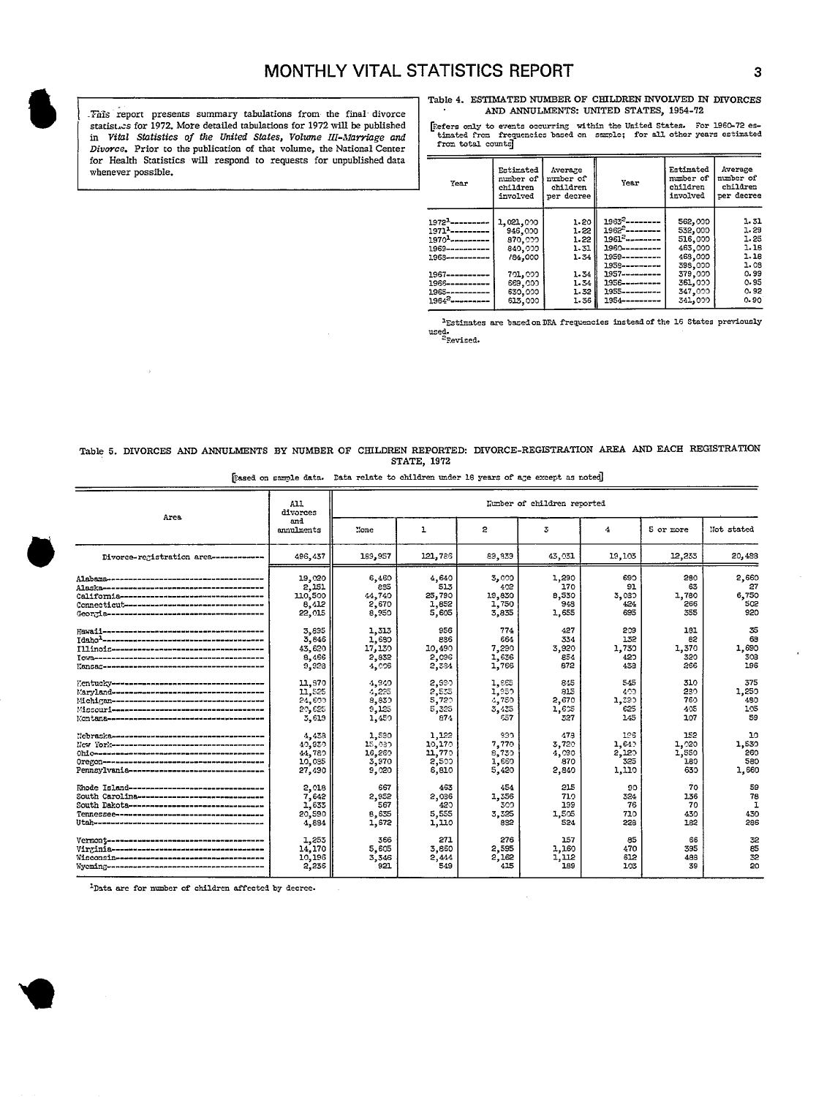. This report presents summary tabulations from the final divorce statist. S for 1972, More detailed tabulations for 1972 will be published **flum total Covert** *Statistics* of the United States, Volume III-Marriage and Divorce. Prior to the publication of that volume, the National Center for Health Statistics will respond to requests for unpublished data whenever possible.

Table 4. ESTIMATED NUMBER OF CHILDREN INVOLVED IN DIVORCES AND ANNULMENTS: UNITED STATES, 1954-72

statist.cs for 1972. More detailed tabulations for 1972 will be published [Refers only to events occurring within the United States. For 1960–72 es-<br>in Vital Statistics of the United States, Volume III-Marriage and | time

| Year                           | Estimated<br>number of<br>children<br>involved | Average<br>number of<br>children<br>per decree | Year               | Estimated<br>number of<br>children<br>involved | Average<br>number of<br>children<br>per decree |
|--------------------------------|------------------------------------------------|------------------------------------------------|--------------------|------------------------------------------------|------------------------------------------------|
| $1972 - - - - - - - -$         | 1,021,000                                      | 1.20                                           | $1963^2$ --------- | 562,000                                        | 1.31                                           |
| $1971$ <sup>1</sup> ---------- | 946,000                                        | 1.22                                           | $1962^2$ --------  | 532,000                                        | 1.29                                           |
| $19701$ ---------              | 870.000                                        | 1.22                                           | $19612$ --------   | 516,000                                        | 1.25                                           |
| 1969-----------                | 849.000                                        | 1.31                                           | 1960---------      | 463,000                                        | 1.16                                           |
| 1968-----------                | /84,000                                        | 1.34                                           | 1959---------      | 468,000                                        | 1.16                                           |
|                                |                                                |                                                | 1958---------      | 398,000                                        | 1.08                                           |
|                                | 701,000                                        | 1.34                                           | 1957----------     | 379,000                                        | 0.99                                           |
| 1966----------                 | 669,000                                        | 1.34                                           | 1956---------      | 361,000                                        | 0.95                                           |
| $1965$ ----------              | 630,000                                        | 1.32                                           | $1955$ ---------   | 347,000                                        | 0.92                                           |
| $1964^2$ ----------            | 613,000                                        | 1.36                                           | 1954---------      | 341,000                                        | 0.90                                           |

'Estimates are based onDFA frequencies insteadof the 16 States pmviouzly used.<br><sup>2</sup>Revised

Table 5. DIVORCES AND ANNULMENTS BY NUMBER OF CHILDREN REPORTED: DIVORCE-REGISTRATION AREA AND EACH REGISTRATION STATE, 1972

| Eased on sample data. Data relate to children under 18 years of age except as noted |  |  |  |  |
|-------------------------------------------------------------------------------------|--|--|--|--|
|-------------------------------------------------------------------------------------|--|--|--|--|

|                                               | A11<br>divorces   | Lumber of children reported |            |        |        |        |           |              |  |  |
|-----------------------------------------------|-------------------|-----------------------------|------------|--------|--------|--------|-----------|--------------|--|--|
| Area                                          | and<br>annulments | Tone                        | ı          | 2      | 3      | 4      | 5 or more | Not stated   |  |  |
| Divorce-registration area ------------        | 496,437           | 189,957                     | 121,786    | 89,839 | 43,031 | 19,103 | 12.233    | 20,488       |  |  |
|                                               | 19.020            | 6,460                       | 4.640      | 3,000  | 1,290  | 690    | 280       | 2,660        |  |  |
|                                               | 2,151             | 885                         | 513        | 402    | 170    | 91     | 63        | 27           |  |  |
|                                               | 110,500           | 44,740                      | 25,790     | 19,830 | 8,530  | 3.030  | 1,780     | 6,750        |  |  |
| Connectiont---------------------------------- | 8.412             | 2,670                       | 1,852      | 1,750  | 948    | 424    | 266       | 502          |  |  |
|                                               | 22,015            | 8,950                       | 5,605      | 3.835  | 1,655  | 695    | 355       | 920          |  |  |
|                                               | 3.895             | 1,313                       | 956        | 774    | 427    | 209    | 181       | 35           |  |  |
|                                               | 3.846             | 1,680                       | <b>886</b> | 664    | 334    | 132    | 82        | 68           |  |  |
|                                               | 43.620            | 17,130                      | 10,490     | 7,290  | 3,920  | 1.730  | 1,370     | 1,690        |  |  |
|                                               | 8.466             | 2,832                       | 2,096      | 1,636  | 854    | 420    | 320       | 308          |  |  |
|                                               | 9.928             | 4,006                       | 2,384      | 1,766  | 872    | 433    | 266       | 196          |  |  |
|                                               | 11,970            | 4,940                       | 2,890      | 1,885  | 845    | 545    | 310       | 375          |  |  |
|                                               | 11,525            | 4,235                       | 2,535      | 1,950  | 815    | 400    | 280       | 1,250        |  |  |
| Mchigan----------------------------------     | 24,600            | 8,830                       | 5,720      | 4,750  | 2,670  | 1,380  | 760       | 480          |  |  |
|                                               | 20,625            | 9,125                       | 5,325      | 3,435  | 1,605  | 625    | 405       | 105          |  |  |
|                                               | 3,619             | 1,450                       | 874        | 557    | 327    | 145    | 107       | 59           |  |  |
|                                               | 4,438             | 1,590                       | 1.122      | 930    | 478    | 126    | 152       | 10           |  |  |
| Hey Yorksammannannannannannannannannan        | 40.930            | 15,030                      | 10,170     | 7,770  | 3,720  | 1,649  | 1,020     | 1,530        |  |  |
| Ohi Osanusaanuseeneeneeneeneeneeneeneeneen    | 14,780            | 16,289                      | 11,770     | 8.730  | 4,030  | 2,120  | 1,550     | 260          |  |  |
|                                               | 10.035            | 3,970                       | 2,500      | 1,660  | 870    | 325    | 180       | 580          |  |  |
| Pennsylvania--------------------------------  | 27,430            | 9,020                       | 6,810      | 5,420  | 2,840  | 1.110  | 630       | 1,660        |  |  |
| Rhode Island--------------------------------  | 2.018             | 667                         | 463        | 454    | 215    | 90     | 70        | 59           |  |  |
| South Carolina------------------------------  | 7,642             | 2,952                       | 2,036      | 1,356  | 710    | 324    | 136       | 78           |  |  |
| South Dakota--------------------------------  | 1,633             | 567                         | 420        | 300    | 199    | 76     | 70        | $\mathbf{I}$ |  |  |
|                                               | 20,590            | 8,635                       | 5,555      | 3,325  | 1,505  | 710    | 430       | 430          |  |  |
|                                               | 4,884             | 1,672                       | 1,110      | 832    | 524    | 228    | 182       | 286          |  |  |
|                                               | 1,253             | 366                         | 271        | 276    | 157    | 85     | 66        | 32           |  |  |
|                                               | 14,170            | 5,605                       | 3,860      | 2,595  | 1,160  | 470    | 395       | 85           |  |  |
|                                               | 10,196            | 3,346                       | 2,444      | 2,162  | 1,112  | 612    | 488       | 32           |  |  |
|                                               | 2,236             | 921                         | 549        | 415    | 189    | 103    | 39        | 20           |  |  |

'Data are for number of children **affected** by decrcc.